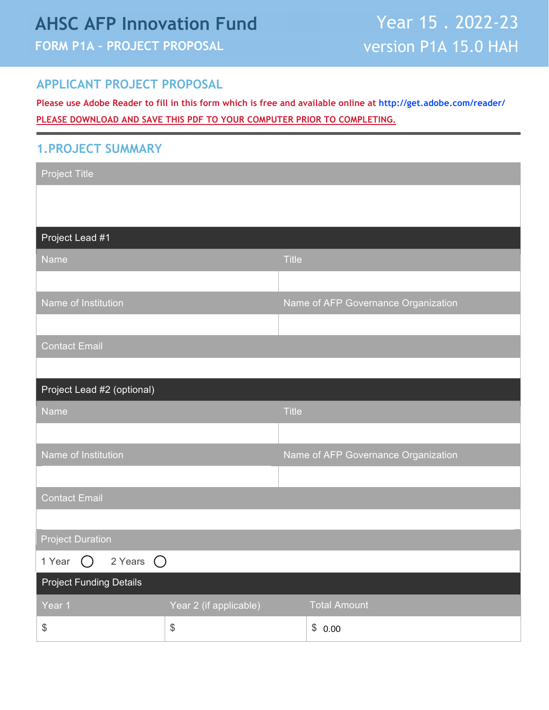# **AHSC AFP Innovation Fund**

**FORM P1A – PROJECT PROPOSAL** 

### **APPLICANT PROJECT PROPOSAL**

**Please use Adobe Reader to fill in this form which is free and available online at [http://get.adobe.com/reader/](https://get.adobe.com/reader/) PLEASE DOWNLOAD AND SAVE THIS PDF TO YOUR COMPUTER PRIOR TO COMPLETING.**

### **1.PROJECT SUMMARY**

| <b>Project Title</b>                          |                                               |                                     |                                     |
|-----------------------------------------------|-----------------------------------------------|-------------------------------------|-------------------------------------|
|                                               |                                               |                                     |                                     |
|                                               |                                               |                                     |                                     |
| Project Lead #1                               |                                               |                                     |                                     |
| Name                                          |                                               | <b>Title</b>                        |                                     |
|                                               |                                               |                                     |                                     |
| Name of Institution                           |                                               |                                     | Name of AFP Governance Organization |
|                                               |                                               |                                     |                                     |
| <b>Contact Email</b>                          |                                               |                                     |                                     |
|                                               |                                               |                                     |                                     |
| Project Lead #2 (optional)                    |                                               |                                     |                                     |
| Name                                          |                                               | <b>Title</b>                        |                                     |
|                                               |                                               |                                     |                                     |
| Name of Institution                           |                                               | Name of AFP Governance Organization |                                     |
|                                               |                                               |                                     |                                     |
| <b>Contact Email</b>                          |                                               |                                     |                                     |
|                                               |                                               |                                     |                                     |
| <b>Project Duration</b>                       |                                               |                                     |                                     |
| 2 Years $\bigcirc$<br>1 Year $\bigcirc$       |                                               |                                     |                                     |
| <b>Project Funding Details</b>                |                                               |                                     |                                     |
| Year 1                                        | Year 2 (if applicable)                        |                                     | <b>Total Amount</b>                 |
| $\, \, \raisebox{12pt}{$\scriptstyle \circ$}$ | $\, \, \raisebox{12pt}{$\scriptstyle \circ$}$ |                                     | \$0.00                              |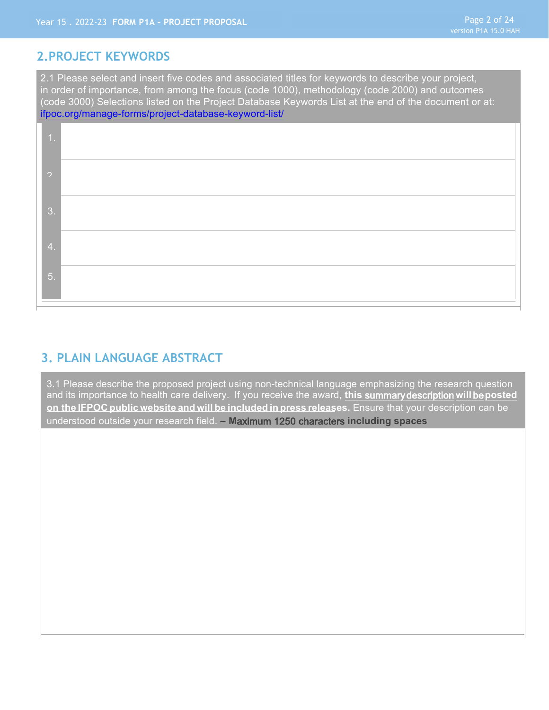### **2.PROJECT KEYWORDS**

2.1 Please select and insert five codes and associated titles for keywords to describe your project, in order of importance, from among the focus (code 1000), methodology (code 2000) and outcomes (code 3000) Selections listed on the Project Database Keywords List at the end of the document or at: [ifpoc.org/manage-forms/project-database-keyword-list/](https://ifpoc.org/manage-forms/project-database-keyword-list/)



### **3. PLAIN LANGUAGE ABSTRACT**

3.1 Please describe the proposed project using non-technical language emphasizing the research question and its importance to health care delivery. If you receive the award, **this** summarydescription **will** be **posted on the IFPOC public website and will be included in press releases.** Ensure that your description can be understood outside your research field. – **M**aximum 1250 characters **including spaces**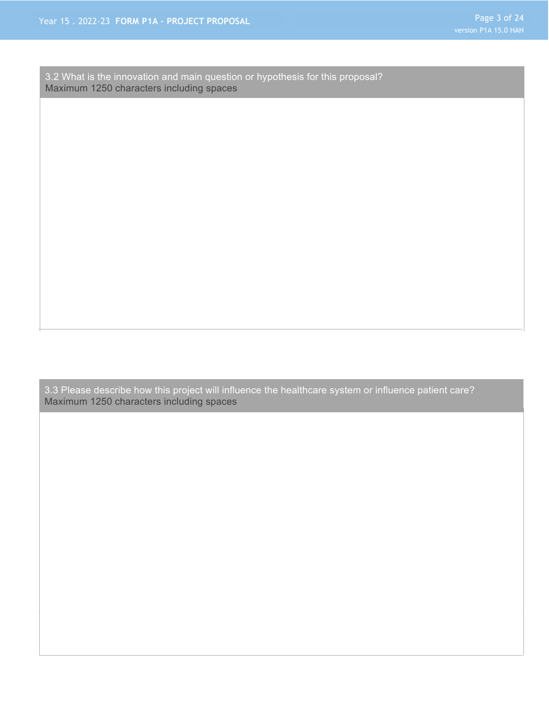3.2 What is the innovation and main question or hypothesis for this proposal? Maximum 1250 characters including spaces

3.3 Please describe how this project will influence the healthcare system or influence patient care? Maximum 1250 characters including spaces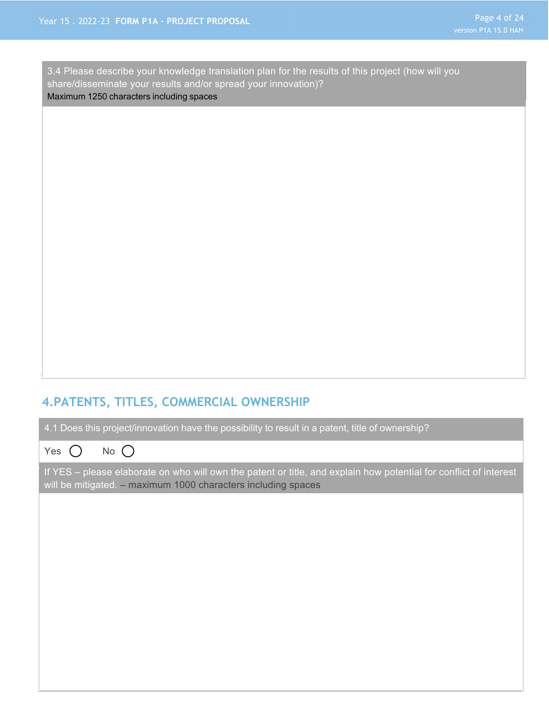3.4 Please describe your knowledge translation plan for the results of this project (how will you share/disseminate your results and/or spread your innovation)? Maximum 1250 characters including spaces

### **4.PATENTS, TITLES, COMMERCIAL OWNERSHIP**

4.1 Does this project/innovation have the possibility to result in a patent, title of ownership?

| Yes | No. | $\circ$ $\circ$ |
|-----|-----|-----------------|
|     |     |                 |
|     |     |                 |

If YES – please elaborate on who will own the patent or title, and explain how potential for conflict of interest will be mitigated. – maximum 1000 characters including spaces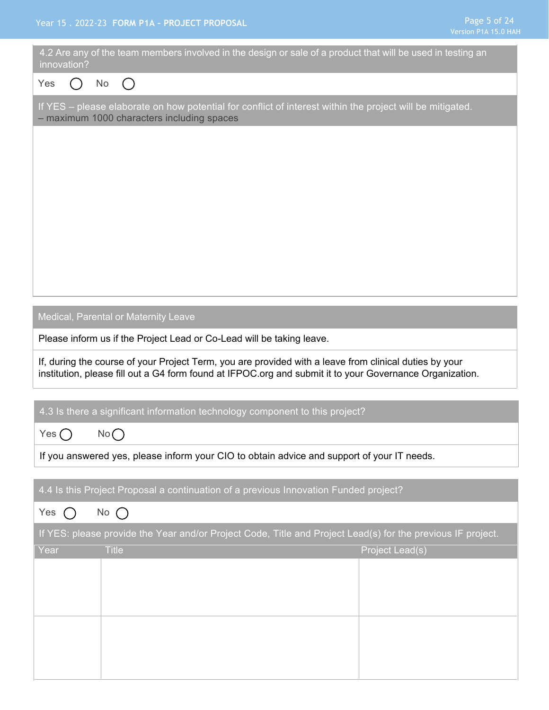| 4.2 Are any of the team members involved in the design or sale of a product that will be used in testing an<br>innovation?                              |
|---------------------------------------------------------------------------------------------------------------------------------------------------------|
| Yes<br>No<br>(                                                                                                                                          |
| If YES - please elaborate on how potential for conflict of interest within the project will be mitigated.<br>- maximum 1000 characters including spaces |
| Medical, Parental or Maternity Leave                                                                                                                    |
| Please inform us if the Project Lead or Co-Lead will be taking leave.                                                                                   |
| If, during the course of your Project Term, you are provided with a leave from clinical duties by your                                                  |
| institution, please fill out a G4 form found at IFPOC.org and submit it to your Governance Organization.                                                |
|                                                                                                                                                         |
| 4.3 Is there a significant information technology component to this project?                                                                            |
| Yes (<br>No(                                                                                                                                            |
| If you answered yes, please inform your CIO to obtain advice and support of your IT needs.                                                              |
| 4.4 Is this Project Proposal a continuation of a previous Innovation Funded project?                                                                    |
| No $\bigcap$<br>Yes<br>( )                                                                                                                              |
| If YES: please provide the Year and/or Project Code, Title and Project Lead(s) for the previous IF project.                                             |
| Year<br><b>Title</b><br>Project Lead(s)                                                                                                                 |
|                                                                                                                                                         |
|                                                                                                                                                         |
|                                                                                                                                                         |
|                                                                                                                                                         |
|                                                                                                                                                         |
|                                                                                                                                                         |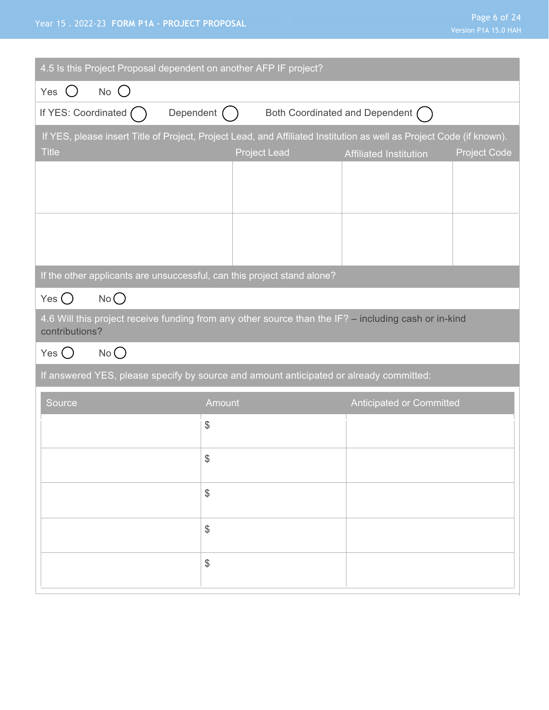### Year 15 . 2022-23 **FORM P1A – PROJECT PROPOSAL**

| 4.5 Is this Project Proposal dependent on another AFP IF project?                                                      |              |                     |                                  |                     |
|------------------------------------------------------------------------------------------------------------------------|--------------|---------------------|----------------------------------|---------------------|
| $No$ $O$<br>Yes<br>$($ )                                                                                               |              |                     |                                  |                     |
| If YES: Coordinated                                                                                                    | Dependent () |                     | Both Coordinated and Dependent ( |                     |
| If YES, please insert Title of Project, Project Lead, and Affiliated Institution as well as Project Code (if known).   |              |                     |                                  |                     |
| <b>Title</b>                                                                                                           |              | <b>Project Lead</b> | <b>Affiliated Institution</b>    | <b>Project Code</b> |
|                                                                                                                        |              |                     |                                  |                     |
|                                                                                                                        |              |                     |                                  |                     |
|                                                                                                                        |              |                     |                                  |                     |
|                                                                                                                        |              |                     |                                  |                     |
| If the other applicants are unsuccessful, can this project stand alone?                                                |              |                     |                                  |                     |
| No<br>Yes $\bigcirc$                                                                                                   |              |                     |                                  |                     |
|                                                                                                                        |              |                     |                                  |                     |
| 4.6 Will this project receive funding from any other source than the IF? - including cash or in-kind<br>contributions? |              |                     |                                  |                     |
| No<br>Yes $\bigcirc$                                                                                                   |              |                     |                                  |                     |
| If answered YES, please specify by source and amount anticipated or already committed:                                 |              |                     |                                  |                     |
| Source                                                                                                                 | Amount       |                     | <b>Anticipated or Committed</b>  |                     |
|                                                                                                                        | \$           |                     |                                  |                     |
|                                                                                                                        |              |                     |                                  |                     |
|                                                                                                                        | \$           |                     |                                  |                     |
|                                                                                                                        | \$           |                     |                                  |                     |
|                                                                                                                        |              |                     |                                  |                     |
|                                                                                                                        | \$           |                     |                                  |                     |
|                                                                                                                        | \$           |                     |                                  |                     |
|                                                                                                                        |              |                     |                                  |                     |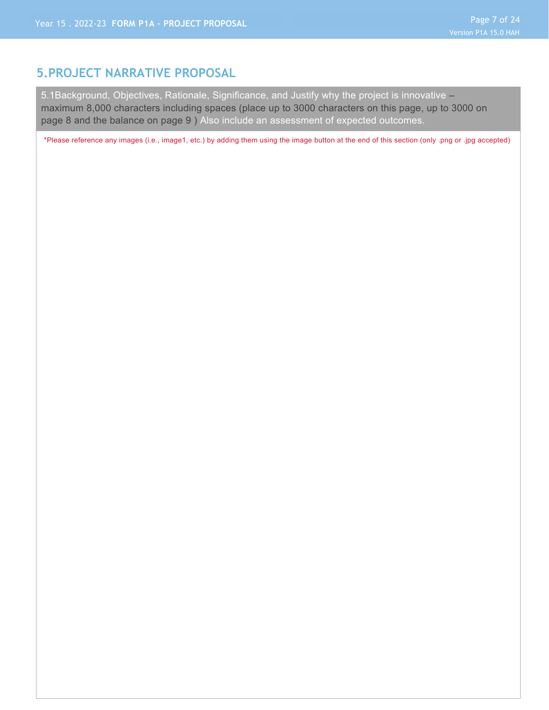### **5.PROJECT NARRATIVE PROPOSAL**

5.1Background, Objectives, Rationale, Significance, and Justify why the project is innovative – maximum 8,000 characters including spaces (place up to 3000 characters on this page, up to 3000 on page 8 and the balance on page 9 ) Also include an assessment of expected outcomes.

\*Please reference any images (i.e., image1, etc.) by adding them using the image button at the end of this section (only .png or .jpg accepted)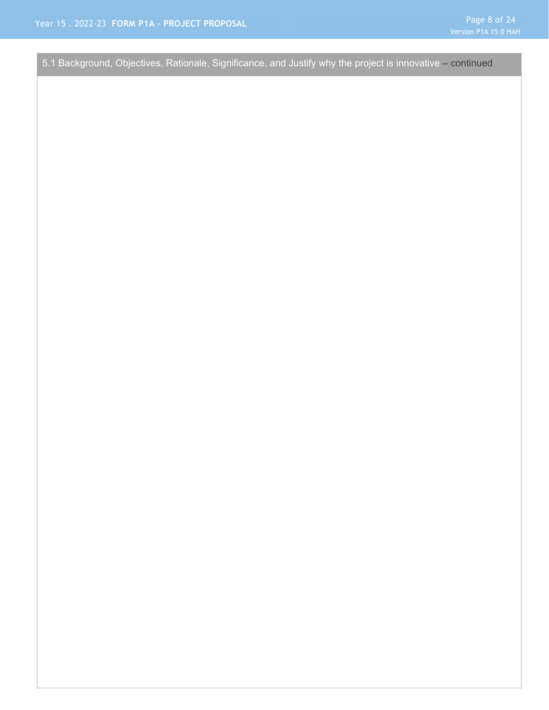5.1 Background, Objectives, Rationale, Significance, and Justify why the project is innovative – continued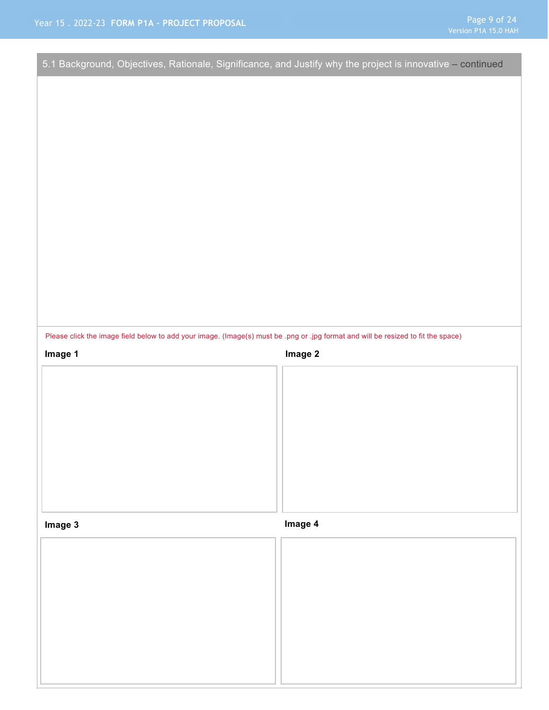| 5.1 Background, Objectives, Rationale, Significance, and Justify why the project is innovative - continued                        |         |
|-----------------------------------------------------------------------------------------------------------------------------------|---------|
|                                                                                                                                   |         |
|                                                                                                                                   |         |
|                                                                                                                                   |         |
|                                                                                                                                   |         |
|                                                                                                                                   |         |
|                                                                                                                                   |         |
|                                                                                                                                   |         |
|                                                                                                                                   |         |
|                                                                                                                                   |         |
|                                                                                                                                   |         |
|                                                                                                                                   |         |
|                                                                                                                                   |         |
|                                                                                                                                   |         |
| Please click the image field below to add your image. (Image(s) must be .png or .jpg format and will be resized to fit the space) |         |
| Image 1                                                                                                                           | Image 2 |
|                                                                                                                                   |         |
|                                                                                                                                   |         |
|                                                                                                                                   |         |
|                                                                                                                                   |         |
|                                                                                                                                   |         |
|                                                                                                                                   |         |
|                                                                                                                                   |         |
|                                                                                                                                   |         |
|                                                                                                                                   |         |
| Image 3                                                                                                                           | Image 4 |
|                                                                                                                                   |         |
|                                                                                                                                   |         |
|                                                                                                                                   |         |
|                                                                                                                                   |         |
|                                                                                                                                   |         |
|                                                                                                                                   |         |
|                                                                                                                                   |         |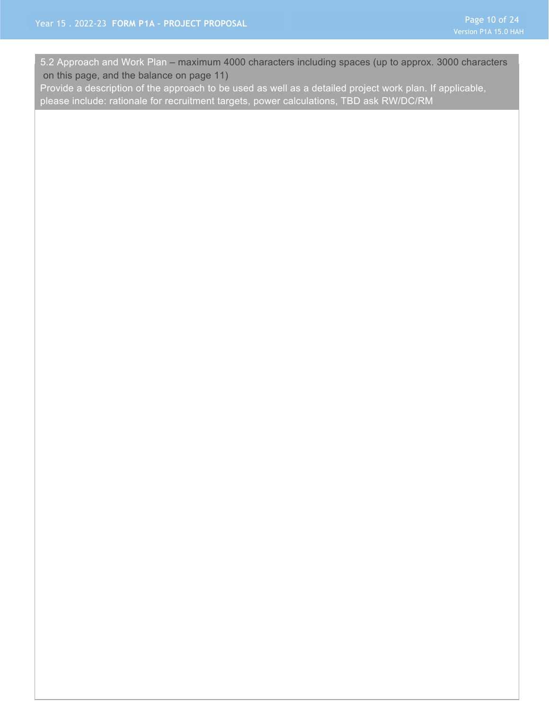5.2 Approach and Work Plan – maximum 4000 characters including spaces (up to approx. 3000 characters on this page, and the balance on page 11)

Provide a description of the approach to be used as well as a detailed project work plan. If applicable, please include: rationale for recruitment targets, power calculations, TBD ask RW/DC/RM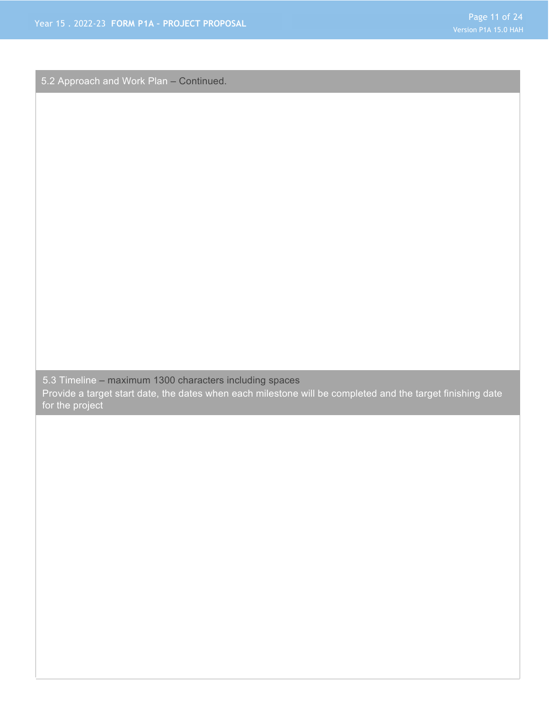5.2 Approach and Work Plan – Continued.

5.3 Timeline – maximum 1300 characters including spaces

Provide a target start date, the dates when each milestone will be completed and the target finishing date for the project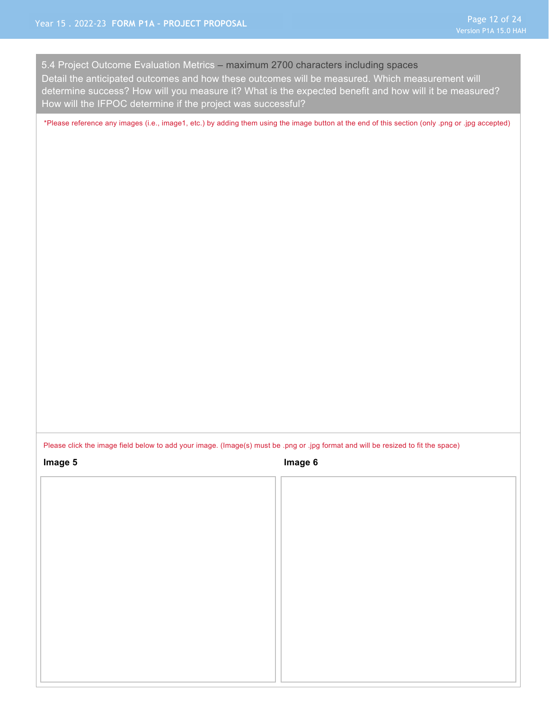5.4 Project Outcome Evaluation Metrics – maximum 2700 characters including spaces Detail the anticipated outcomes and how these outcomes will be measured. Which measurement will determine success? How will you measure it? What is the expected benefit and how will it be measured? How will the IFPOC determine if the project was successful?

\*Please reference any images (i.e., image1, etc.) by adding them using the image button at the end of this section (only .png or .jpg accepted)

Please click the image field below to add your image. (Image(s) must be .png or .jpg format and will be resized to fit the space)

**Image 5 Image 6**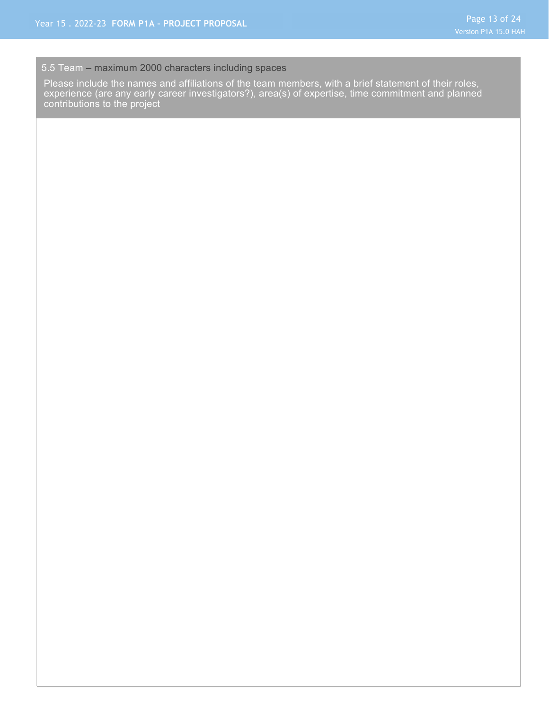#### 5.5 Team – maximum 2000 characters including spaces

Please include the names and affiliations of the team members, with a brief statement of their roles, experience (are any early career investigators?), area(s) of expertise, time commitment and planned contributions to the project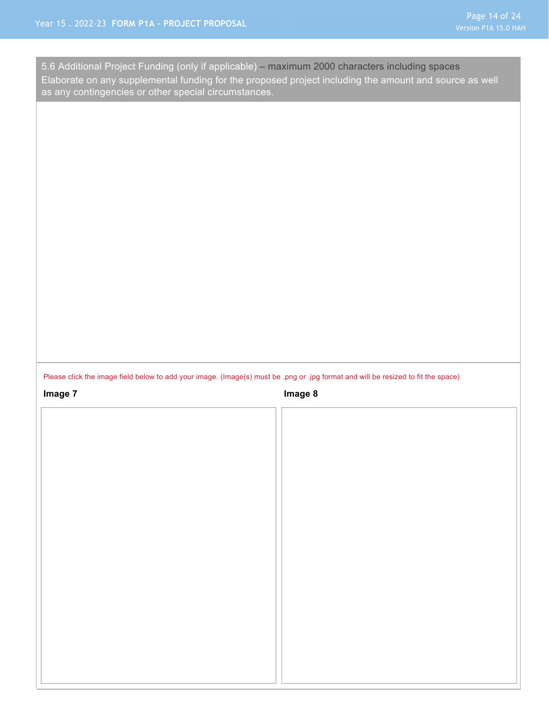as any contingencies or other special circumstances. 5.6 Additional Project Funding (only if applicable) – maximum 2000 characters including spaces Elaborate on any supplemental funding for the proposed project including the amount and source as well

#### Please click the image field below to add your image. (Image(s) must be .png or .jpg format and will be resized to fit the space)

**Image 7 Image 8**

TΓ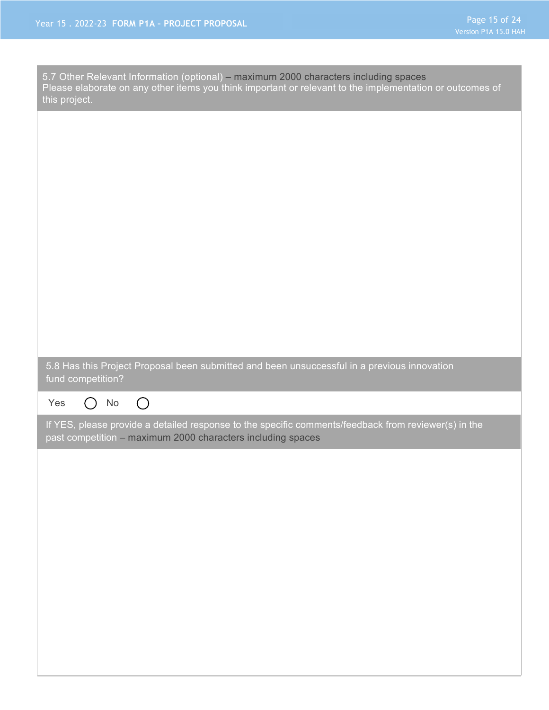| Please elaborate on any other items you think important or relevant to the implementation or outcomes of<br>this project. |
|---------------------------------------------------------------------------------------------------------------------------|
|                                                                                                                           |
|                                                                                                                           |
|                                                                                                                           |
|                                                                                                                           |
|                                                                                                                           |
|                                                                                                                           |
|                                                                                                                           |
| 5.8 Has this Project Proposal been submitted and been unsuccessful in a previous innovation                               |
| fund competition?                                                                                                         |
| $\bigcirc$<br>No<br>Yes<br>$( \ )$                                                                                        |
| If YES, please provide a detailed response to the specific comments/feedback from reviewer(s) in the                      |
| past competition - maximum 2000 characters including spaces                                                               |
|                                                                                                                           |
|                                                                                                                           |
|                                                                                                                           |
|                                                                                                                           |
|                                                                                                                           |
|                                                                                                                           |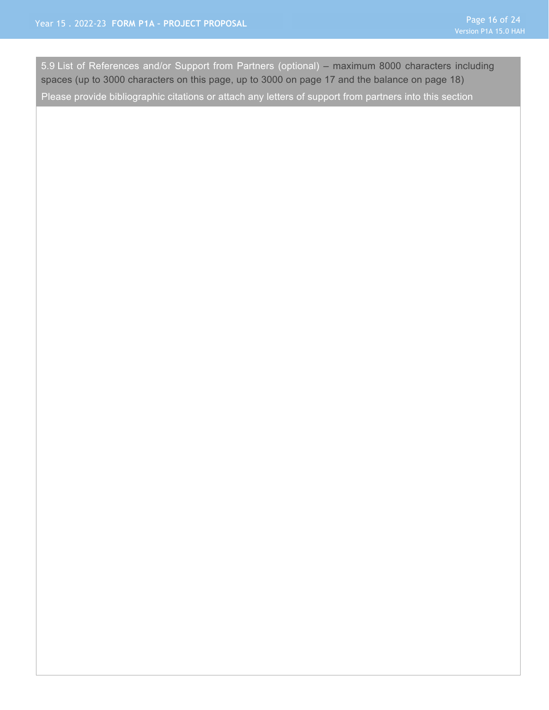5.9 List of References and/or Support from Partners (optional) – maximum 8000 characters including spaces (up to 3000 characters on this page, up to 3000 on page 17 and the balance on page 18)

Please provide bibliographic citations or attach any letters of support from partners into this section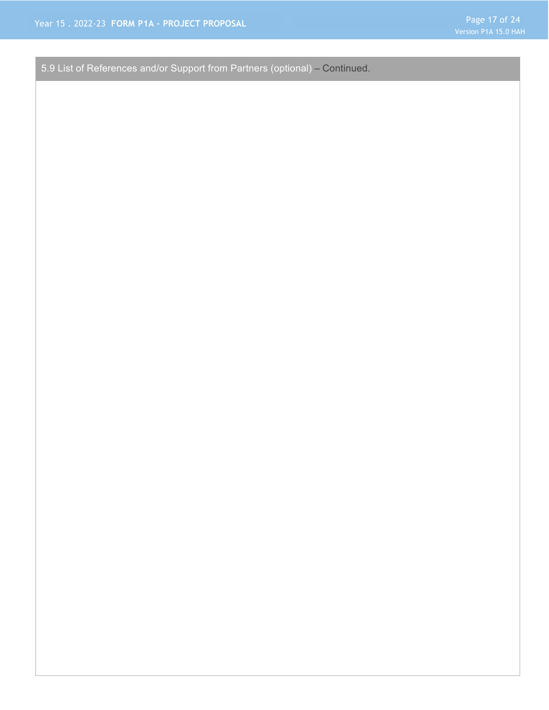5.9 List of References and/or Support from Partners (optional) – Continued.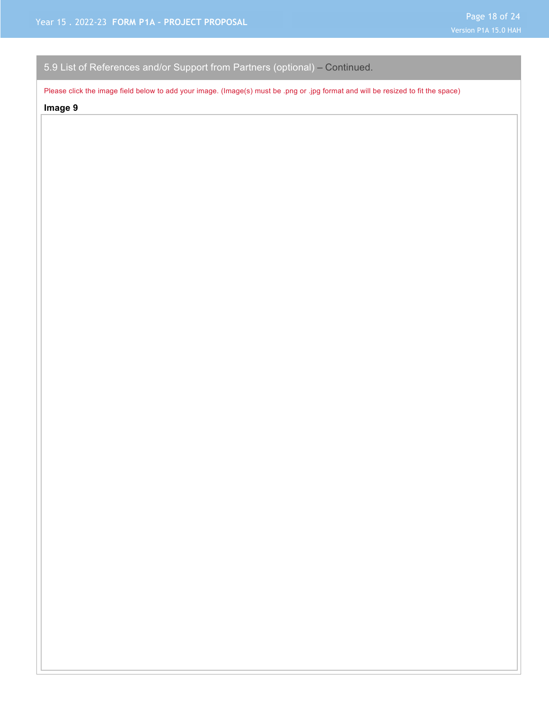### 5.9 List of References and/or Support from Partners (optional) – Continued.

Please click the image field below to add your image. (Image(s) must be .png or .jpg format and will be resized to fit the space)

#### **Image 9**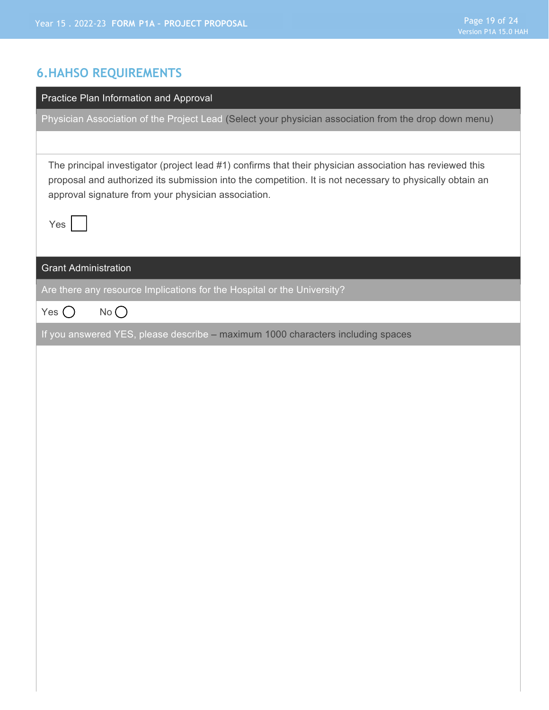## **6.HAHSO REQUIREMENTS**

| Practice Plan Information and Approval                                                                                                                                                                                                                                      |
|-----------------------------------------------------------------------------------------------------------------------------------------------------------------------------------------------------------------------------------------------------------------------------|
| Physician Association of the Project Lead (Select your physician association from the drop down menu)                                                                                                                                                                       |
|                                                                                                                                                                                                                                                                             |
| The principal investigator (project lead #1) confirms that their physician association has reviewed this<br>proposal and authorized its submission into the competition. It is not necessary to physically obtain an<br>approval signature from your physician association. |
| Yes                                                                                                                                                                                                                                                                         |
| <b>Grant Administration</b>                                                                                                                                                                                                                                                 |
| Are there any resource Implications for the Hospital or the University?                                                                                                                                                                                                     |
| $No$ $\bigcirc$<br>Yes $()$                                                                                                                                                                                                                                                 |
| If you answered YES, please describe - maximum 1000 characters including spaces                                                                                                                                                                                             |
|                                                                                                                                                                                                                                                                             |
|                                                                                                                                                                                                                                                                             |
|                                                                                                                                                                                                                                                                             |
|                                                                                                                                                                                                                                                                             |
|                                                                                                                                                                                                                                                                             |
|                                                                                                                                                                                                                                                                             |
|                                                                                                                                                                                                                                                                             |
|                                                                                                                                                                                                                                                                             |
|                                                                                                                                                                                                                                                                             |
|                                                                                                                                                                                                                                                                             |
|                                                                                                                                                                                                                                                                             |
|                                                                                                                                                                                                                                                                             |
|                                                                                                                                                                                                                                                                             |
|                                                                                                                                                                                                                                                                             |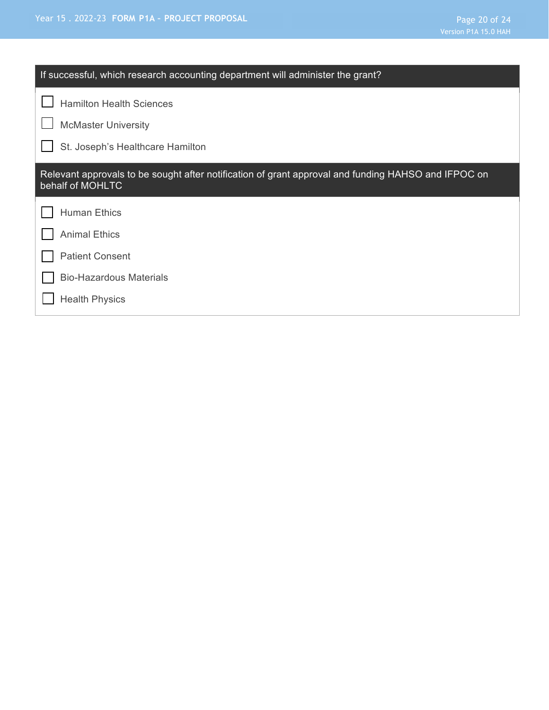| If successful, which research accounting department will administer the grant?                                          |
|-------------------------------------------------------------------------------------------------------------------------|
| <b>Hamilton Health Sciences</b>                                                                                         |
| <b>McMaster University</b>                                                                                              |
| St. Joseph's Healthcare Hamilton                                                                                        |
| Relevant approvals to be sought after notification of grant approval and funding HAHSO and IFPOC on<br>behalf of MOHLTC |
| <b>Human Ethics</b>                                                                                                     |
| <b>Animal Ethics</b>                                                                                                    |
| <b>Patient Consent</b>                                                                                                  |
| <b>Bio-Hazardous Materials</b>                                                                                          |
| <b>Health Physics</b>                                                                                                   |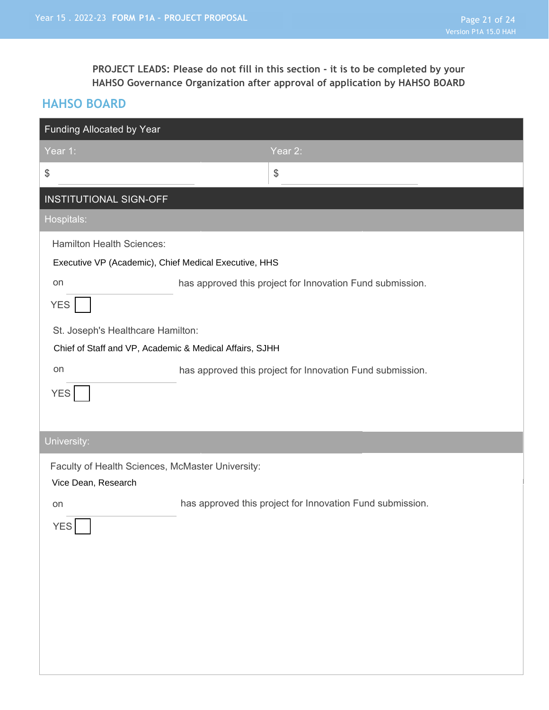**PROJECT LEADS: Please do not fill in this section - it is to be completed by your HAHSO Governance Organization after approval of application by HAHSO BOARD**

### **HAHSO BOARD**

| Funding Allocated by Year                                                                    |                                                           |
|----------------------------------------------------------------------------------------------|-----------------------------------------------------------|
| Year 1:                                                                                      | Year 2:                                                   |
| \$                                                                                           | $\, \, \raisebox{12pt}{$\scriptstyle \$}$                 |
| <b>INSTITUTIONAL SIGN-OFF</b>                                                                |                                                           |
| Hospitals:                                                                                   |                                                           |
| <b>Hamilton Health Sciences:</b><br>Executive VP (Academic), Chief Medical Executive, HHS    |                                                           |
| on<br><b>YES</b>                                                                             | has approved this project for Innovation Fund submission. |
| St. Joseph's Healthcare Hamilton:<br>Chief of Staff and VP, Academic & Medical Affairs, SJHH |                                                           |
| on<br><b>YES</b>                                                                             | has approved this project for Innovation Fund submission. |
| University:                                                                                  |                                                           |
| Faculty of Health Sciences, McMaster University:<br>Vice Dean, Research                      |                                                           |
| on<br>YES                                                                                    | has approved this project for Innovation Fund submission. |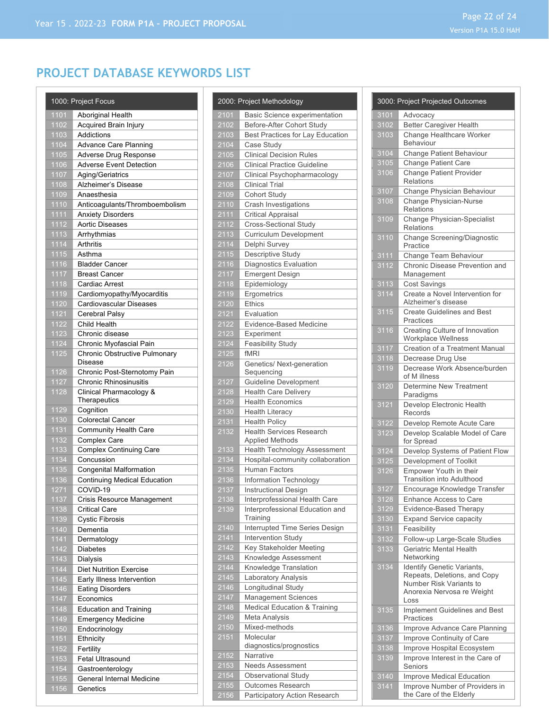### **PROJECT DATABASE KEYWORDS LIST**

|              | 1000: Project Focus                                  |
|--------------|------------------------------------------------------|
| 1101         | Aboriginal Health                                    |
| 1102         | Acquired Brain Injury                                |
| 1103         | Addictions                                           |
| 1104         | Advance Care Planning                                |
| 1105         | Adverse Drug Response                                |
| 1106         | <b>Adverse Event Detection</b>                       |
| 1107         | Aging/Geriatrics                                     |
| 1108         | Alzheimer's Disease                                  |
| 1109         | Anaesthesia                                          |
| 1110         | Anticoagulants/Thromboembolism                       |
| 1111         | <b>Anxiety Disorders</b>                             |
| 1112         | <b>Aortic Diseases</b>                               |
| 1113         | Arrhythmias                                          |
| 1114         | Arthritis                                            |
| 1115         | Asthma                                               |
| 1116         | <b>Bladder Cancer</b>                                |
| 1117         | <b>Breast Cancer</b>                                 |
| 1118         | Cardiac Arrest                                       |
| 1119         | Cardiomyopathy/Myocarditis                           |
| 1120         | Cardiovascular Diseases                              |
| 1121         | Cerebral Palsy                                       |
| 1122         | Child Health                                         |
| 1123         | Chronic disease                                      |
| 1124         | Chronic Myofascial Pain                              |
| 1125         | Chronic Obstructive Pulmonary                        |
|              | Disease                                              |
| 1126         | Chronic Post-Sternotomy Pain                         |
| 1127         | <b>Chronic Rhinosinusitis</b>                        |
| 1128         | Clinical Pharmacology &                              |
| 1129         | Therapeutics<br>Cognition                            |
| 1130         | <b>Colorectal Cancer</b>                             |
| 1131         | Community Health Care                                |
| 1132         | Complex Care                                         |
| 1133         | <b>Complex Continuing Care</b>                       |
| 1134         | Concussion                                           |
| 1135         | <b>Congenital Malformation</b>                       |
| 1136         | <b>Continuing Medical Education</b>                  |
| 1271         | COVID-19                                             |
| 1137         | Crisis Resource Management                           |
| 1138         | <b>Critical Care</b>                                 |
| 1139         | <b>Cystic Fibrosis</b>                               |
| 1140         | Dementia                                             |
| 1141         | Dermatology                                          |
| 1142         | <b>Diabetes</b>                                      |
| 1143         | Dialysis                                             |
| 1144         | <b>Diet Nutrition Exercise</b>                       |
| 1145         | Early Illness Intervention                           |
| 1146         | <b>Eating Disorders</b>                              |
| 1147         | Economics                                            |
| 1148         | <b>Education and Training</b>                        |
| 1149         | <b>Emergency Medicine</b>                            |
| 1150         | Endocrinology                                        |
| 1151         | Ethnicity                                            |
| 1152         | Fertility                                            |
| 1153         | Fetal Ultrasound                                     |
| 1154<br>1155 | Gastroenterology<br><b>General Internal Medicine</b> |
| 1156         | Genetics                                             |
|              |                                                      |

|                   | 2000: Project Methodology                               |
|-------------------|---------------------------------------------------------|
| 2101              | Basic Science experimentation                           |
| 2102              | Before-After Cohort Study                               |
| 2103              | Best Practices for Lay Education                        |
| 2104              | Case Study                                              |
| 2105              | <b>Clinical Decision Rules</b>                          |
| 2106              | <b>Clinical Practice Guideline</b>                      |
| 2107              | Clinical Psychopharmacology                             |
| 2108              | <b>Clinical Trial</b>                                   |
| $\frac{2109}{ }$  | Cohort Study                                            |
| 2110              | Crash Investigations                                    |
| 2111              | <b>Critical Appraisal</b>                               |
| 2112              | Cross-Sectional Study                                   |
| 2113              | Curriculum Development                                  |
| $\frac{1}{2}$ 114 | Delphi Survey                                           |
| 2115              | Descriptive Study                                       |
| 2116              | Diagnostics Evaluation                                  |
| 2117<br>2118      | <b>Emergent Design</b>                                  |
| 2119              | Epidemiology<br>Ergometrics                             |
| 2120              | <b>Ethics</b>                                           |
| 2121              | Evaluation                                              |
| 2122              | <b>Evidence-Based Medicine</b>                          |
| 2123              | Experiment                                              |
| 2124              | <b>Feasibility Study</b>                                |
| 2125              | fMRI                                                    |
| 2126              | Genetics/ Next-generation                               |
|                   | Sequencing                                              |
| 2127              | Guideline Development                                   |
| 2128              | <b>Health Care Delivery</b>                             |
| 2129              | <b>Health Economics</b>                                 |
| 2130              | <b>Health Literacy</b>                                  |
| 2131              | <b>Health Policy</b><br><b>Health Services Research</b> |
| 2132              | <b>Applied Methods</b>                                  |
| 2133              | Health Technology Assessment                            |
| 2134              | Hospital-community collaboration                        |
| 2135              | Human Factors                                           |
| 2136              | Information Technology                                  |
| $\frac{1}{2137}$  | <b>Instructional Design</b>                             |
| 2138              | Interprofessional Health Care                           |
| 2139              | Interprofessional Education and                         |
|                   | Training                                                |
| 2140<br>2141      | Interrupted Time Series Design                          |
| $\frac{2142}{2}$  | <b>Intervention Study</b><br>Key Stakeholder Meeting    |
| 2143              | Knowledge Assessment                                    |
| 2144              | Knowledge Translation                                   |
| 2145              | Laboratory Analysis                                     |
| 2146              | Longitudinal Study                                      |
| $\frac{1}{2147}$  | Management Sciences                                     |
| 2148              | <b>Medical Education &amp; Training</b>                 |
| 2149              | Meta Analysis                                           |
| 2150              | Mixed-methods                                           |
| 2151              | Molecular                                               |
|                   | diagnostics/prognostics                                 |
| 2152              | Narrative                                               |
| 2153              | <b>Needs Assessment</b>                                 |
| 2154<br>2155      | Observational Study                                     |
| 2156              | Outcomes Research<br>Participatory Action Research      |
|                   |                                                         |

|              | 3000: Project Projected Outcomes                           |  |
|--------------|------------------------------------------------------------|--|
| 3101         | Advocacy                                                   |  |
| 3102         | <b>Better Caregiver Health</b>                             |  |
| 3103         | Change Healthcare Worker<br><b>Behaviour</b>               |  |
| 3104         | Change Patient Behaviour                                   |  |
| 3105         | <b>Change Patient Care</b>                                 |  |
| 3106         | <b>Change Patient Provider</b><br>Relations                |  |
| 3107         | Change Physician Behaviour                                 |  |
| 3108         | <b>Change Physician-Nurse</b><br><b>Relations</b>          |  |
| 3109         | Change Physician-Specialist<br>Relations                   |  |
| 3110         | Change Screening/Diagnostic<br>Practice                    |  |
| 3111         | Change Team Behaviour                                      |  |
| 3112         | Chronic Disease Prevention and<br>Management               |  |
| 3113         | <b>Cost Savings</b>                                        |  |
| 3114         | Create a Novel Intervention for<br>Alzheimer's disease     |  |
| 3115         | <b>Create Guidelines and Best</b><br>Practices             |  |
| 3116         | Creating Culture of Innovation<br>Workplace Wellness       |  |
| 3117         | Creation of a Treatment Manual                             |  |
| 3118         | Decrease Drug Use                                          |  |
| 3119         | Decrease Work Absence/burden<br>of M illness               |  |
| 3120         | <b>Determine New Treatment</b><br>Paradigms                |  |
| 3121         | Develop Electronic Health<br>Records                       |  |
| 3122         | Develop Remote Acute Care                                  |  |
| 3123         | Develop Scalable Model of Care<br>for Spread               |  |
| 3124         | Develop Systems of Patient Flow                            |  |
| 3125         | Development of Toolkit                                     |  |
| 3126         | Empower Youth in their<br><b>Transition into Adulthood</b> |  |
| 3127         | Encourage Knowledge Transfer                               |  |
| 3128<br>3129 | Enhance Access to Care<br>Evidence-Based Therapy           |  |
| 3130         | <b>Expand Service capacity</b>                             |  |
| 3131         | Feasibility                                                |  |
| 3132         | Follow-up Large-Scale Studies                              |  |
| 3133         | Geriatric Mental Health<br>Networking                      |  |
| 3134         | Identify Genetic Variants,                                 |  |
|              | Repeats, Deletions, and Copy<br>Number Risk Variants to    |  |
|              | Anorexia Nervosa re Weight<br>Loss                         |  |
| 3135         | Implement Guidelines and Best<br>Practices                 |  |
| 3136         | Improve Advance Care Planning                              |  |
| 3137         | Improve Continuity of Care                                 |  |
| 3138         | Improve Hospital Ecosystem                                 |  |
| 3139         | Improve Interest in the Care of<br>Seniors                 |  |
| 3140         | Improve Medical Education                                  |  |
| 3141         | Improve Number of Providers in<br>the Care of the Elderly  |  |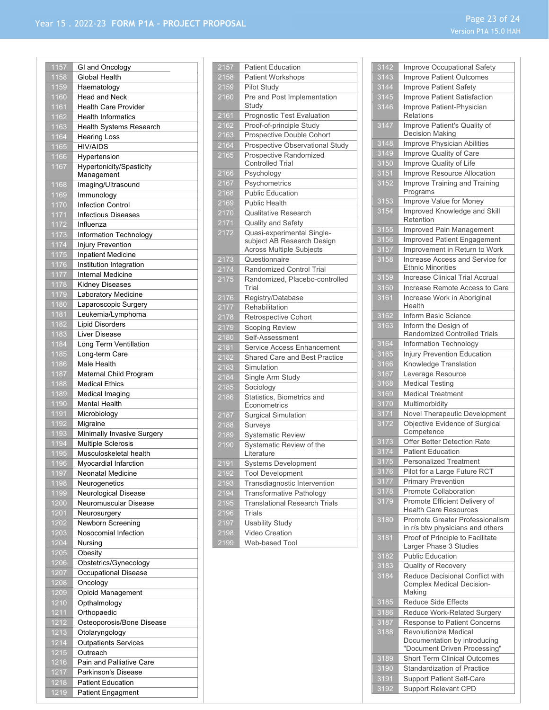| 1157         | GI and Oncology                               |
|--------------|-----------------------------------------------|
| 1158         | Global Health                                 |
| 1159         | Haematology                                   |
| 1160         | <b>Head and Neck</b>                          |
| 1161         | <b>Health Care Provider</b>                   |
| 1162         | <b>Health Informatics</b>                     |
| 1163         | Health Systems Research                       |
| 1164         | <b>Hearing Loss</b>                           |
| 1165         | <b>HIV/AIDS</b>                               |
| 1166         | Hypertension                                  |
| 1167         | Hypertonicity/Spasticity<br>Management        |
| 1168         | Imaging/Ultrasound                            |
| 1169         | Immunology                                    |
| 1170         | <b>Infection Control</b>                      |
| 1171         | <b>Infectious Diseases</b>                    |
| 1172         | Influenza                                     |
| 1173         | Information Technology                        |
| 1174         | <b>Injury Prevention</b>                      |
| 1175         | <b>Inpatient Medicine</b>                     |
| 1176         | Institution Integration                       |
| 1177         | <b>Internal Medicine</b>                      |
| 1178         | <b>Kidney Diseases</b>                        |
| 1179         | Laboratory Medicine                           |
| 1180         | Laparoscopic Surgery                          |
| 1181         | Leukemia/Lymphoma                             |
| 1182         | <b>Lipid Disorders</b>                        |
| 1183         | Liver Disease                                 |
| 1184         | Long Term Ventillation                        |
| 1185         | Long-term Care                                |
| 1186         | Male Health                                   |
| 1187         | Maternal Child Program                        |
| 1188         | <b>Medical Ethics</b>                         |
| 1189         | Medical Imaging                               |
| 1190         | <b>Mental Health</b>                          |
|              | Microbiology                                  |
| 1191         |                                               |
| 1192         | Migraine                                      |
| 1193         | Minimally Invasive Surgery                    |
| 1194         | Multiple Sclerosis                            |
| 1195         | Musculoskeletal health                        |
| <u> 1196</u> | Myocardial Infarction                         |
| 1197         | Neonatal Medicine                             |
| 1198         | Neurogenetics                                 |
| 1199         | Neurological Disease                          |
| 1200         | Neuromuscular Disease                         |
| 1201         | Neurosurgery                                  |
| 1202         | Newborn Screening                             |
| 1203<br>1204 | Nosocomial Infection<br>Nursing               |
| 1205         | Obesity                                       |
| 1206         | Obstetrics/Gynecology                         |
| 1207         | Occupational Disease                          |
| 1208         | Oncology                                      |
| 1209         | Opioid Management                             |
| 1210         | Opthalmology                                  |
| 1211         | Orthopaedic                                   |
| 1212         | Osteoporosis/Bone Disease                     |
| 1213         | Otolaryngology                                |
| 1214         | <b>Outpatients Services</b>                   |
| 1215         | Outreach                                      |
| 1216         | Pain and Palliative Care                      |
| 1217         | Parkinson's Disease                           |
| 1218<br>1219 | <b>Patient Education</b><br>Patient Engagment |

| 2157              | <b>Patient Education</b>                                                                    |  |
|-------------------|---------------------------------------------------------------------------------------------|--|
| 2158              | Patient Workshops                                                                           |  |
| 2159              | Pilot Study                                                                                 |  |
| 2160              | Pre and Post Implementation<br>Study                                                        |  |
| 2161              | Prognostic Test Evaluation                                                                  |  |
| 2162              | Proof-of-principle Study                                                                    |  |
| 2163              | Prospective Double Cohort                                                                   |  |
| 2164              | Prospective Observational Study                                                             |  |
| 2165              | Prospective Randomized<br><b>Controlled Trial</b>                                           |  |
| 2166              | Psychology                                                                                  |  |
| 2167              | Psychometrics                                                                               |  |
| 2168              | <b>Public Education</b>                                                                     |  |
| 2169              | <b>Public Health</b>                                                                        |  |
| 2170              | <b>Qualitative Research</b>                                                                 |  |
| 2171              | Quality and Safety                                                                          |  |
| 2172              | Quasi-experimental Single-<br>subject AB Research Design<br><b>Across Multiple Subjects</b> |  |
| 2173              | Questionnaire                                                                               |  |
| 2174              | Randomized Control Trial                                                                    |  |
| 2175              | Randomized, Placebo-controlled<br>Trial                                                     |  |
| 2176              | Registry/Database                                                                           |  |
| $\frac{1}{2}$ 177 | Rehabilitation                                                                              |  |
| 2178              | Retrospective Cohort                                                                        |  |
| 2179              | Scoping Review                                                                              |  |
| 2180              | Self-Assessment                                                                             |  |
| 2181              | Service Access Enhancement                                                                  |  |
| 2182              | Shared Care and Best Practice                                                               |  |
| 2183              | Simulation                                                                                  |  |
| 2184              | Single Arm Study                                                                            |  |
| 2185              | Sociology                                                                                   |  |
| 2186              | Statistics, Biometrics and<br>Econometrics                                                  |  |
| 2187              | <b>Surgical Simulation</b>                                                                  |  |
| 2188              | Surveys                                                                                     |  |
| 2189              | <b>Systematic Review</b>                                                                    |  |
| 2190              | Systematic Review of the<br>Literature                                                      |  |
| 2191              | Systems Development                                                                         |  |
| 2192              | <b>Tool Development</b>                                                                     |  |
| 2193              | Transdiagnostic Intervention                                                                |  |
| $\frac{1}{2194}$  | Transformative Pathology                                                                    |  |
| 2195              | <b>Translational Research Trials</b>                                                        |  |
| 2196              | Trials                                                                                      |  |
| 2197              | <b>Usability Study</b>                                                                      |  |
| 2198              | Video Creation                                                                              |  |
| $\frac{1}{2}$ 199 | Web-based Tool                                                                              |  |
|                   |                                                                                             |  |

| 3142         | Improve Occupational Safety                                         |
|--------------|---------------------------------------------------------------------|
| $3143$       | <b>Improve Patient Outcomes</b>                                     |
| 3144         | Improve Patient Safety                                              |
| 3145         | Improve Patient Satisfaction                                        |
| 3146         | Improve Patient-Physician<br><b>Relations</b>                       |
| 3147         | Improve Patient's Quality of<br>Decision Making                     |
| 3148         | Improve Physician Abilities                                         |
| 3149         | Improve Quality of Care                                             |
| 3150         | Improve Quality of Life                                             |
| 3151         | Improve Resource Allocation                                         |
| 3152         | Improve Training and Training<br>Programs                           |
| 3153         | Improve Value for Money                                             |
| 3154         | Improved Knowledge and Skill<br>Retention                           |
| 3155         | Improved Pain Management                                            |
| 3156         | Improved Patient Engagement                                         |
| 3157         | Improvement in Return to Work                                       |
| 3158         | Increase Access and Service for<br><b>Ethnic Minorities</b>         |
| 3159         | <b>Increase Clinical Trial Accrual</b>                              |
| 3160         | Increase Remote Access to Care                                      |
| 3161         | Increase Work in Aboriginal<br>Health                               |
| 3162         | Inform Basic Science                                                |
| 3163         | Inform the Design of                                                |
|              | Randomized Controlled Trials                                        |
| 3164         | <b>Information Technology</b>                                       |
| 3165         | <b>Injury Prevention Education</b>                                  |
| 3166         | Knowledge Translation                                               |
| 3167         | Leverage Resource                                                   |
| 3168         | <b>Medical Testing</b>                                              |
| 3169         | <b>Medical Treatment</b>                                            |
| 3170         | Multimorbidity                                                      |
| 3171         | Novel Therapeutic Development                                       |
| 3172         | Objective Evidence of Surgical                                      |
|              | Competence                                                          |
| 3173         | Offer Better Detection Rate                                         |
| 3174         | <b>Patient Education</b>                                            |
| 3175         | <b>Personalized Treatment</b>                                       |
| 3176         | Pilot for a Large Future RCT                                        |
| 3177         | <b>Primary Prevention</b>                                           |
| 3178         | Promote Collaboration                                               |
| 3179         | Promote Efficient Delivery of<br><b>Health Care Resources</b>       |
| 3180         | Promote Greater Professionalism<br>in r/s btw physicians and others |
| 3181         | Proof of Principle to Facilitate<br>Larger Phase 3 Studies          |
| 3182         | <b>Public Education</b>                                             |
| 3183         | Quality of Recovery                                                 |
| 3184         | Reduce Decisional Conflict with<br><b>Complex Medical Decision-</b> |
|              | Making                                                              |
| 3185         | Reduce Side Effects                                                 |
| 3186         | Reduce Work-Related Surgery                                         |
| 3187         | Response to Patient Concerns                                        |
| 3188         | <b>Revolutionize Medical</b>                                        |
|              | Documentation by introducing                                        |
|              | "Document Driven Processing"                                        |
| 3189         |                                                                     |
|              | <b>Short Term Clinical Outcomes</b>                                 |
|              | Standardization of Practice                                         |
| 3190<br>3191 | <b>Support Patient Self-Care</b>                                    |